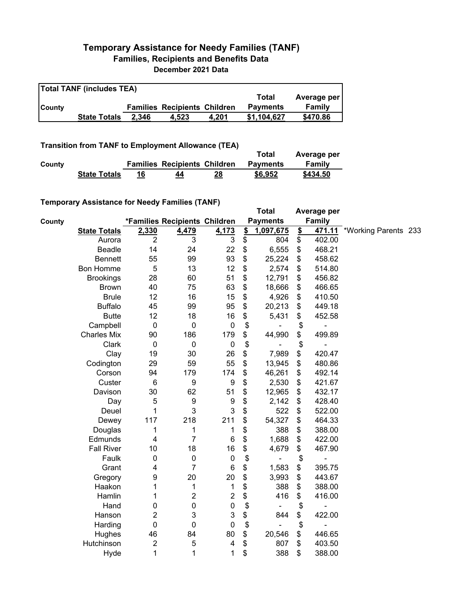## **Temporary Assistance for Needy Families (TANF) Families, Recipients and Benefits Data December 2021 Data**

| <b>Total TANF (includes TEA)</b> |                     |       |                                     |       |                 |             |  |  |
|----------------------------------|---------------------|-------|-------------------------------------|-------|-----------------|-------------|--|--|
|                                  |                     |       |                                     |       | Total           | Average per |  |  |
| <b>County</b>                    |                     |       | <b>Families Recipients Children</b> |       | <b>Payments</b> | Family      |  |  |
|                                  | <b>State Totals</b> | 2.346 | 4.523                               | 4.201 | \$1,104,627     | \$470.86    |  |  |

## **Transition from TANF to Employment Allowance (TEA)**

|        | <b>ITAIISIUVII ITVIII TAIVE LU EIIIPIVYIIIEIIL AIIUWAIICE (TEA)</b> |    |                                     |    | Total           | Average per |
|--------|---------------------------------------------------------------------|----|-------------------------------------|----|-----------------|-------------|
| County |                                                                     |    | <b>Families Recipients Children</b> |    | <b>Payments</b> | Family      |
|        | <b>State Totals</b>                                                 | 16 | 44                                  | 28 | \$6,952         | \$434.50    |

## **Temporary Assistance for Needy Families (TANF)**

|        | $1$ chiporury Abbiblianoc for Nobely Familico (TANT) |                |                               |                           |               | <b>Total</b>    |               | Average per   |                      |  |
|--------|------------------------------------------------------|----------------|-------------------------------|---------------------------|---------------|-----------------|---------------|---------------|----------------------|--|
| County |                                                      |                | *Families Recipients Children |                           |               | <b>Payments</b> |               | <b>Family</b> |                      |  |
|        | <b>State Totals</b>                                  | 2,330          | 4,479                         | 4,173                     | $\frac{2}{2}$ | 1,097,675       | $\frac{2}{2}$ | 471.11        | *Working Parents 233 |  |
|        | Aurora                                               | $\overline{2}$ | 3                             | 3                         | \$            | 804             | \$            | 402.00        |                      |  |
|        | Beadle                                               | 14             | 24                            | 22                        | \$            | 6,555           | \$            | 468.21        |                      |  |
|        | <b>Bennett</b>                                       | 55             | 99                            | 93                        | \$            | 25,224          | \$            | 458.62        |                      |  |
|        | <b>Bon Homme</b>                                     | $\mathbf 5$    | 13                            | 12                        | \$            | 2,574           | \$            | 514.80        |                      |  |
|        | <b>Brookings</b>                                     | 28             | 60                            | 51                        | \$            | 12,791          | \$            | 456.82        |                      |  |
|        | <b>Brown</b>                                         | 40             | 75                            | 63                        | \$            | 18,666          | \$            | 466.65        |                      |  |
|        | <b>Brule</b>                                         | 12             | 16                            | 15                        | \$            | 4,926           | \$            | 410.50        |                      |  |
|        | <b>Buffalo</b>                                       | 45             | 99                            | 95                        | \$            | 20,213          | \$            | 449.18        |                      |  |
|        | <b>Butte</b>                                         | 12             | 18                            | 16                        | \$            | 5,431           | \$            | 452.58        |                      |  |
|        | Campbell                                             | $\mathbf 0$    | $\mathbf 0$                   | $\pmb{0}$                 | \$            |                 | \$            |               |                      |  |
|        | <b>Charles Mix</b>                                   | 90             | 186                           | 179                       | \$            | 44,990          | \$            | 499.89        |                      |  |
|        | Clark                                                | $\mathbf 0$    | 0                             | $\mathbf 0$               | \$            |                 | \$            |               |                      |  |
|        | Clay                                                 | 19             | 30                            | 26                        | \$            | 7,989           | \$            | 420.47        |                      |  |
|        | Codington                                            | 29             | 59                            | 55                        | \$            | 13,945          | \$            | 480.86        |                      |  |
|        | Corson                                               | 94             | 179                           | 174                       | \$            | 46,261          | \$            | 492.14        |                      |  |
|        | Custer                                               | 6              | 9                             | 9                         | \$            | 2,530           | \$            | 421.67        |                      |  |
|        | Davison                                              | 30             | 62                            | 51                        | \$            | 12,965          | \$            | 432.17        |                      |  |
|        | Day                                                  | 5              | 9                             | 9                         | \$            | 2,142           | \$            | 428.40        |                      |  |
|        | Deuel                                                | 1              | 3                             | 3                         | \$            | 522             | \$            | 522.00        |                      |  |
|        | Dewey                                                | 117            | 218                           | 211                       | \$            | 54,327          | \$            | 464.33        |                      |  |
|        | Douglas                                              | 1              | 1                             | 1                         | \$            | 388             | \$            | 388.00        |                      |  |
|        | Edmunds                                              | 4              | 7                             | 6                         | \$            | 1,688           | \$            | 422.00        |                      |  |
|        | <b>Fall River</b>                                    | 10             | 18                            | 16                        | \$            | 4,679           | \$            | 467.90        |                      |  |
|        | Faulk                                                | 0              | 0                             | $\pmb{0}$                 | \$            |                 | \$            |               |                      |  |
|        | Grant                                                | 4              | $\overline{7}$                | 6                         | \$            | 1,583           | \$            | 395.75        |                      |  |
|        | Gregory                                              | 9              | 20                            | 20                        | \$            | 3,993           | \$            | 443.67        |                      |  |
|        | Haakon                                               | 1              | 1                             | 1                         | \$            | 388             | \$            | 388.00        |                      |  |
|        | Hamlin                                               | 1              | $\overline{2}$                | $\boldsymbol{2}$          | \$            | 416             | \$            | 416.00        |                      |  |
|        | Hand                                                 | 0              | $\pmb{0}$                     | $\pmb{0}$                 | \$            |                 | \$            |               |                      |  |
|        | Hanson                                               | 2              | 3                             | $\ensuremath{\mathsf{3}}$ | \$            | 844             | \$            | 422.00        |                      |  |
|        | Harding                                              | 0              | 0                             | 0                         | \$            |                 | \$            |               |                      |  |
|        | Hughes                                               | 46             | 84                            | 80                        | \$            | 20,546          | \$            | 446.65        |                      |  |
|        | Hutchinson                                           | $\overline{c}$ | 5                             | 4                         | \$            | 807             | \$            | 403.50        |                      |  |
|        | Hyde                                                 | 1              | 1                             | 1                         | \$            | 388             | \$            | 388.00        |                      |  |